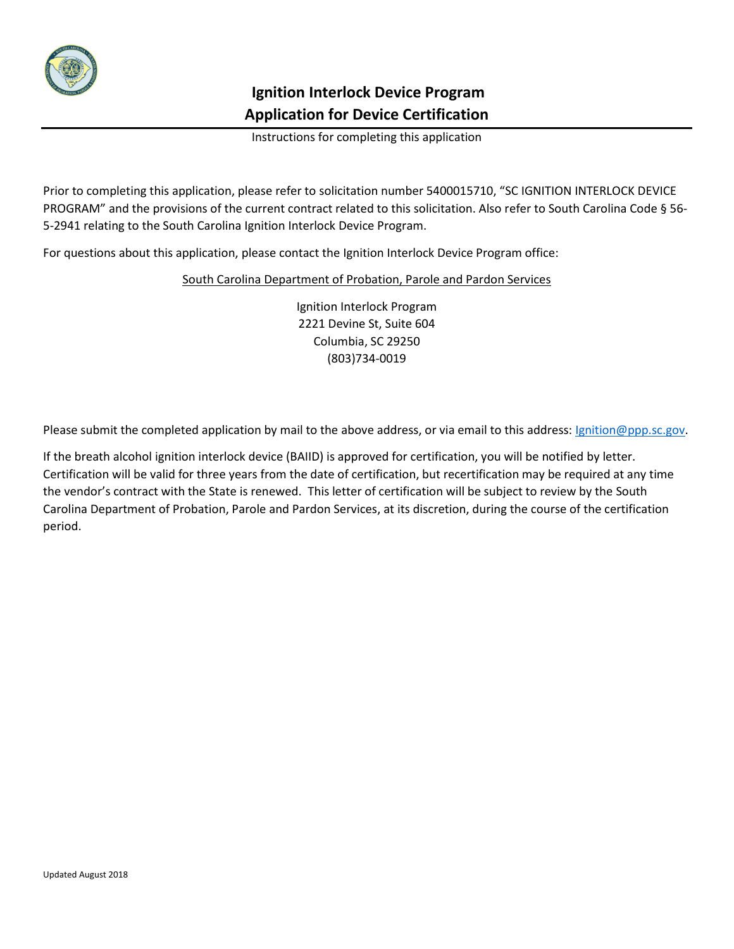

# **Ignition Interlock Device Program Application for Device Certification**

Instructions for completing this application

Prior to completing this application, please refer to solicitation number 5400015710, "SC IGNITION INTERLOCK DEVICE PROGRAM" and the provisions of the current contract related to this solicitation. Also refer to South Carolina Code § 56- 5-2941 relating to the South Carolina Ignition Interlock Device Program.

For questions about this application, please contact the Ignition Interlock Device Program office:

#### South Carolina Department of Probation, Parole and Pardon Services

Ignition Interlock Program 2221 Devine St, Suite 604 Columbia, SC 29250 (803)734-0019

Please submit the completed application by mail to the above address, or via email to this address: *Ignition@ppp.sc.gov*.

If the breath alcohol ignition interlock device (BAIID) is approved for certification, you will be notified by letter. Certification will be valid for three years from the date of certification, but recertification may be required at any time the vendor's contract with the State is renewed. This letter of certification will be subject to review by the South Carolina Department of Probation, Parole and Pardon Services, at its discretion, during the course of the certification period.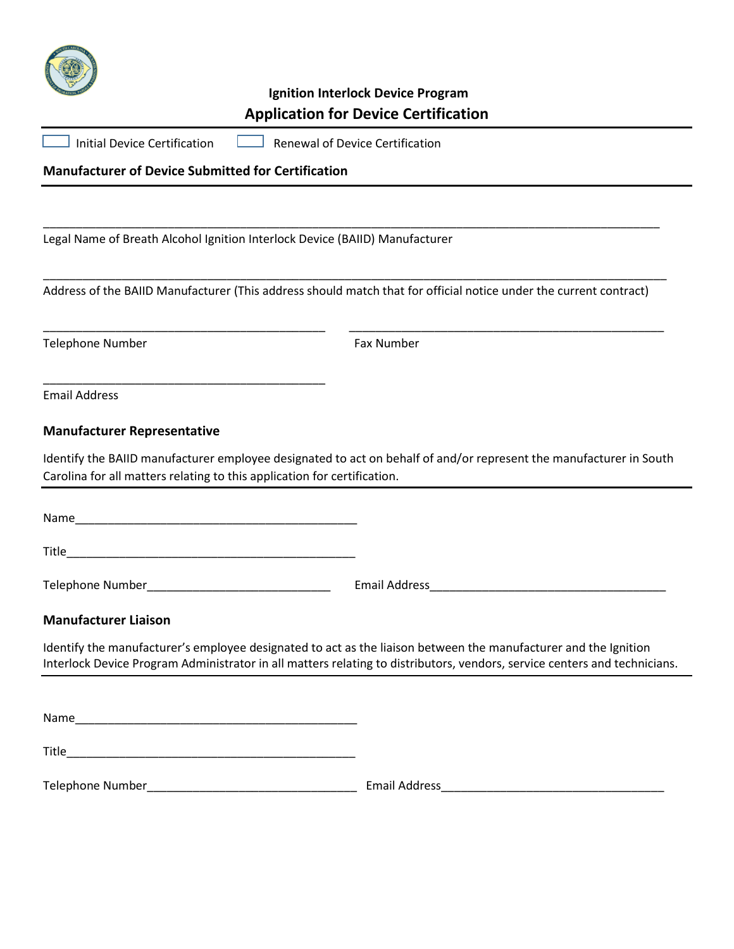

## **Ignition Interlock Device Program Application for Device Certification**

| Initial Device Certification | <b>Renewal of Device Certification</b> |
|------------------------------|----------------------------------------|
|                              |                                        |

## **Manufacturer of Device Submitted for Certification**

Legal Name of Breath Alcohol Ignition Interlock Device (BAIID) Manufacturer

Address of the BAIID Manufacturer (This address should match that for official notice under the current contract)

\_\_\_\_\_\_\_\_\_\_\_\_\_\_\_\_\_\_\_\_\_\_\_\_\_\_\_\_\_\_\_\_\_\_\_\_\_\_\_\_\_\_\_\_\_\_\_\_\_\_\_\_\_\_\_\_\_\_\_\_\_\_\_\_\_\_\_\_\_\_\_\_\_\_\_\_\_\_\_\_\_\_\_\_\_\_\_\_\_\_\_\_\_\_\_

\_\_\_\_\_\_\_\_\_\_\_\_\_\_\_\_\_\_\_\_\_\_\_\_\_\_\_\_\_\_\_\_\_\_\_\_\_\_\_\_\_\_\_ \_\_\_\_\_\_\_\_\_\_\_\_\_\_\_\_\_\_\_\_\_\_\_\_\_\_\_\_\_\_\_\_\_\_\_\_\_\_\_\_\_\_\_\_\_\_\_\_

\_\_\_\_\_\_\_\_\_\_\_\_\_\_\_\_\_\_\_\_\_\_\_\_\_\_\_\_\_\_\_\_\_\_\_\_\_\_\_\_\_\_\_\_\_\_\_\_\_\_\_\_\_\_\_\_\_\_\_\_\_\_\_\_\_\_\_\_\_\_\_\_\_\_\_\_\_\_\_\_\_\_\_\_\_\_\_\_\_\_\_\_\_\_

Telephone Number **Fax Number** Fax Number

Email Address

#### **Manufacturer Representative**

Identify the BAIID manufacturer employee designated to act on behalf of and/or represent the manufacturer in South Carolina for all matters relating to this application for certification.

Name\_\_\_\_\_\_\_\_\_\_\_\_\_\_\_\_\_\_\_\_\_\_\_\_\_\_\_\_\_\_\_\_\_\_\_\_\_\_\_\_\_\_\_

\_\_\_\_\_\_\_\_\_\_\_\_\_\_\_\_\_\_\_\_\_\_\_\_\_\_\_\_\_\_\_\_\_\_\_\_\_\_\_\_\_\_\_

 $\blacksquare$ 

Telephone Number\_\_\_\_\_\_\_\_\_\_\_\_\_\_\_\_\_\_\_\_\_\_\_\_\_\_\_\_ Email Address\_\_\_\_\_\_\_\_\_\_\_\_\_\_\_\_\_\_\_\_\_\_\_\_\_\_\_\_\_\_\_\_\_\_\_\_

#### **Manufacturer Liaison**

Identify the manufacturer's employee designated to act as the liaison between the manufacturer and the Ignition Interlock Device Program Administrator in all matters relating to distributors, vendors, service centers and technicians.

Name\_\_\_\_\_\_\_\_\_\_\_\_\_\_\_\_\_\_\_\_\_\_\_\_\_\_\_\_\_\_\_\_\_\_\_\_\_\_\_\_\_\_\_

 $\blacksquare$  Title

Telephone Number\_\_\_\_\_\_\_\_\_\_\_\_\_\_\_\_\_\_\_\_\_\_\_\_\_\_\_\_\_\_\_\_ Email Address\_\_\_\_\_\_\_\_\_\_\_\_\_\_\_\_\_\_\_\_\_\_\_\_\_\_\_\_\_\_\_\_\_\_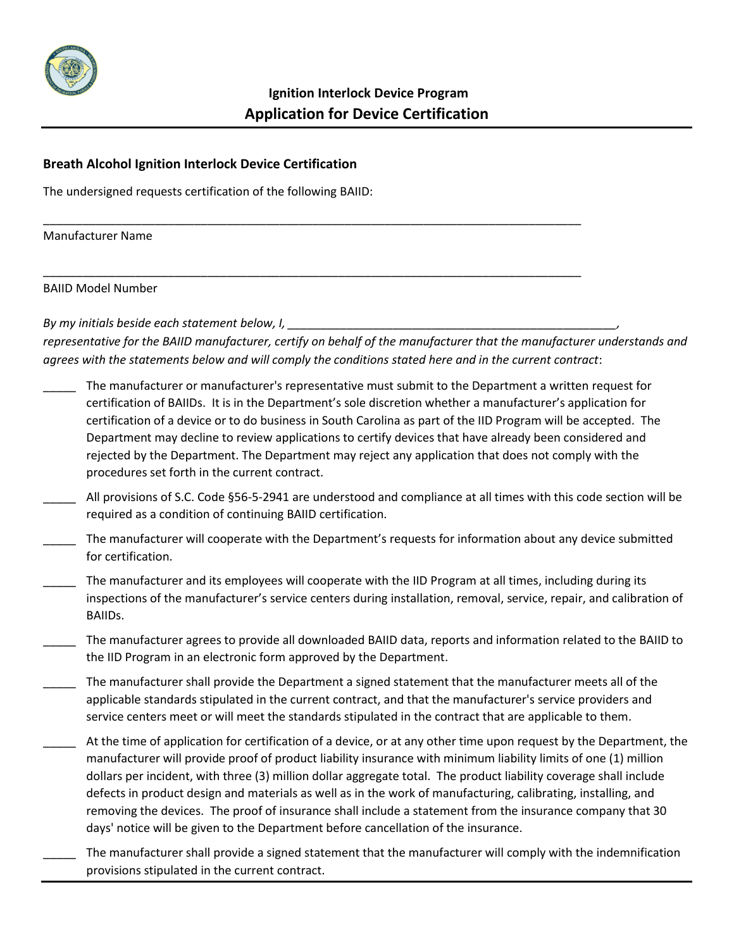

\_\_\_\_\_\_\_\_\_\_\_\_\_\_\_\_\_\_\_\_\_\_\_\_\_\_\_\_\_\_\_\_\_\_\_\_\_\_\_\_\_\_\_\_\_\_\_\_\_\_\_\_\_\_\_\_\_\_\_\_\_\_\_\_\_\_\_\_\_\_\_\_\_\_\_\_\_\_\_\_\_\_

\_\_\_\_\_\_\_\_\_\_\_\_\_\_\_\_\_\_\_\_\_\_\_\_\_\_\_\_\_\_\_\_\_\_\_\_\_\_\_\_\_\_\_\_\_\_\_\_\_\_\_\_\_\_\_\_\_\_\_\_\_\_\_\_\_\_\_\_\_\_\_\_\_\_\_\_\_\_\_\_\_\_

### **Breath Alcohol Ignition Interlock Device Certification**

The undersigned requests certification of the following BAIID:

Manufacturer Name

BAIID Model Number

*By my initials beside each statement below, I, \_\_\_\_\_\_\_\_\_\_\_\_\_\_\_\_\_\_\_\_\_\_\_\_\_\_\_\_\_\_\_\_\_\_\_\_\_\_\_\_\_\_\_\_\_\_\_\_\_\_,* 

*representative for the BAIID manufacturer, certify on behalf of the manufacturer that the manufacturer understands and agrees with the statements below and will comply the conditions stated here and in the current contract*:

- \_\_\_\_\_ The manufacturer or manufacturer's representative must submit to the Department a written request for certification of BAIIDs. It is in the Department's sole discretion whether a manufacturer's application for certification of a device or to do business in South Carolina as part of the IID Program will be accepted. The Department may decline to review applications to certify devices that have already been considered and rejected by the Department. The Department may reject any application that does not comply with the procedures set forth in the current contract.
- All provisions of S.C. Code §56-5-2941 are understood and compliance at all times with this code section will be required as a condition of continuing BAIID certification.
- The manufacturer will cooperate with the Department's requests for information about any device submitted for certification.
- The manufacturer and its employees will cooperate with the IID Program at all times, including during its inspections of the manufacturer's service centers during installation, removal, service, repair, and calibration of BAIIDs.
- \_\_\_\_\_ The manufacturer agrees to provide all downloaded BAIID data, reports and information related to the BAIID to the IID Program in an electronic form approved by the Department.
- \_\_\_\_\_ The manufacturer shall provide the Department a signed statement that the manufacturer meets all of the applicable standards stipulated in the current contract, and that the manufacturer's service providers and service centers meet or will meet the standards stipulated in the contract that are applicable to them.
- At the time of application for certification of a device, or at any other time upon request by the Department, the manufacturer will provide proof of product liability insurance with minimum liability limits of one (1) million dollars per incident, with three (3) million dollar aggregate total. The product liability coverage shall include defects in product design and materials as well as in the work of manufacturing, calibrating, installing, and removing the devices. The proof of insurance shall include a statement from the insurance company that 30 days' notice will be given to the Department before cancellation of the insurance.
- The manufacturer shall provide a signed statement that the manufacturer will comply with the indemnification provisions stipulated in the current contract.